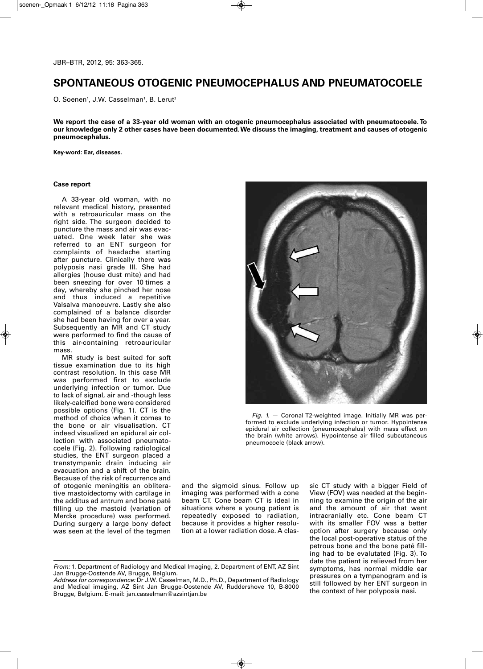## **SPONTANEOUS OTOGENIC PNEUMOCEPHALUS AND PNEUMATOCOELE**

O. Soenen<sup>1</sup>, J.W. Casselman<sup>1</sup>, B. Lerut<sup>2</sup>

We report the case of a 33-year old woman with an otogenic pneumocephalus associated with pneumatocoele. To our knowledge only 2 other cases have been documented. We discuss the imaging, treatment and causes of otogenic **pneumocephalus.**

**Key-word: Ear, diseases.**

## **Case report**

A 33-year old woman, with no relevant medical history, presented with a retroauricular mass on the right side. The surgeon decided to puncture the mass and air was evacuated. One week later she was referred to an ENT surgeon for complaints of headache starting after puncture. Clinically there was polyposis nasi grade III. She had allergies (house dust mite) and had been sneezing for over 10 times a day, whereby she pinched her nose and thus induced a repetitive Valsalva manoeuvre. Lastly she also complained of a balance disorder she had been having for over a year. Subsequently an MR and CT study were performed to find the cause of this air-containing retroauricular mass.

MR study is best suited for soft tissue examination due to its high contrast resolution. In this case MR was performed first to exclude underlying infection or tumor. Due to lack of signal, air and -though less likely-calcified bone were considered possible options (Fig. 1). CT is the method of choice when it comes to the bone or air visualisation. CT indeed visualized an epidural air collection with associated pneumatocoele (Fig. 2). Following radiological studies, the ENT surgeon placed a transtympanic drain inducing air evacuation and a shift of the brain. Because of the risk of recurrence and of otogenic meningitis an obliterative mastoidectomy with cartilage in the additus ad antrum and bone paté filling up the mastoid (variation of Mercke procedure) was performed. During surgery a large bony defect was seen at the level of the tegmen



*Fig. 1.* — Coronal T2-weighted image. Initially MR was performed to exclude underlying infection or tumor. Hypointense epidural air collection (pneumocephalus) with mass effect on the brain (white arrows). Hypointense air filled subcutaneous pneumocoele (black arrow).

and the sigmoid sinus. Follow up imaging was performed with a cone beam CT. Cone beam CT is ideal in situations where a young patient is repeatedly exposed to radiation, because it provides a higher resolution at a lower radiation dose. A classic CT study with a bigger Field of View (FOV) was needed at the beginning to examine the origin of the air and the amount of air that went intracranially etc. Cone beam CT with its smaller FOV was a better option after surgery because only the local post-operative status of the petrous bone and the bone paté filling had to be evalutated (Fig. 3). To date the patient is relieved from her symptoms, has normal middle ear pressures on a tympanogram and is still followed by her ENT surgeon in the context of her polyposis nasi.

*From:* 1. Department of Radiology and Medical Imaging, 2. Department of ENT, AZ Sint Jan Brugge-Oostende AV, Brugge, Belgium.

*Address for correspondence:* Dr J.W. Casselman, M.D., Ph.D., Department of Radiology and Medical imaging, AZ Sint Jan Brugge-Oostende AV, Ruddershove 10, B-8000 Brugge, Belgium. E-mail: jan.casselman@azsintjan.be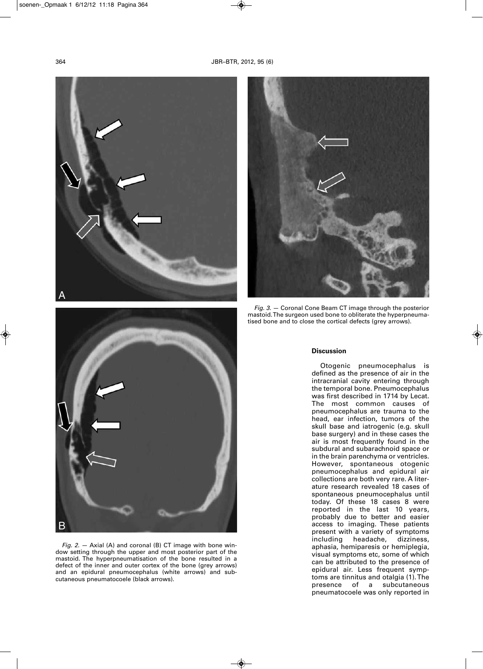



*Fig. 3.* — Coronal Cone Beam CT image through the posterior mastoid.The surgeon used bone to obliterate the hyperpneumatised bone and to close the cortical defects (grey arrows).



Otogenic pneumocephalus is defined as the presence of air in the intracranial cavity entering through the temporal bone. Pneumocephalus was first described in 1714 by Lecat. The most common causes of pneumocephalus are trauma to the head, ear infection, tumors of the skull base and iatrogenic (e.g. skull base surgery) and in these cases the air is most frequently found in the subdural and subarachnoid space or in the brain parenchyma or ventricles. However, spontaneous otogenic pneumocephalus and epidural air collections are both very rare. A literature research revealed 18 cases of spontaneous pneumocephalus until today. Of these 18 cases 8 were reported in the last 10 years, probably due to better and easier access to imaging. These patients present with a variety of symptoms<br>including headache, dizziness, including headache, aphasia, hemiparesis or hemiplegia, visual symptoms etc, some of which can be attributed to the presence of epidural air. Less frequent symptoms are tinnitus and otalgia (1).The presence of a subcutaneous pneumatocoele was only reported in



*Fig. 2.* — Axial (A) and coronal (B) CT image with bone window setting through the upper and most posterior part of the mastoid. The hyperpneumatisation of the bone resulted in a defect of the inner and outer cortex of the bone (grey arrows) and an epidural pneumocephalus (white arrows) and subcutaneous pneumatocoele (black arrows).